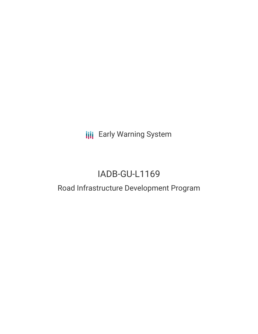**III** Early Warning System

# IADB-GU-L1169

# Road Infrastructure Development Program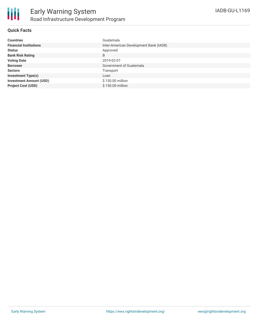

# **Quick Facts**

| <b>Countries</b>               | Guatemala                              |
|--------------------------------|----------------------------------------|
| <b>Financial Institutions</b>  | Inter-American Development Bank (IADB) |
| <b>Status</b>                  | Approved                               |
| <b>Bank Risk Rating</b>        | B                                      |
| <b>Voting Date</b>             | 2019-02-07                             |
| <b>Borrower</b>                | Government of Guatemala                |
| <b>Sectors</b>                 | Transport                              |
| <b>Investment Type(s)</b>      | Loan                                   |
| <b>Investment Amount (USD)</b> | \$150.00 million                       |
| <b>Project Cost (USD)</b>      | \$150.00 million                       |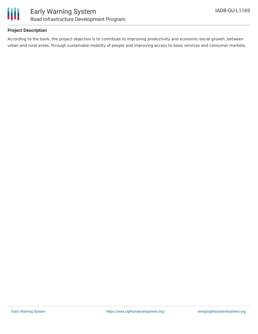

# **Project Description**

According to the bank, the project objective is to contribute to improving productivity and economic-social growth, between urban and rural areas, through sustainable mobility of people and improving access to basic services and consumer markets.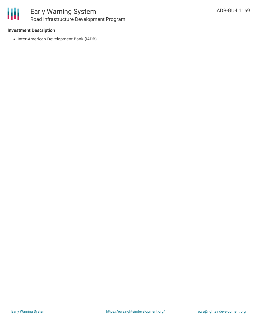

#### **Investment Description**

• Inter-American Development Bank (IADB)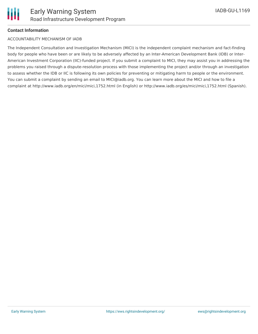### **Contact Information**

#### ACCOUNTABILITY MECHANISM OF IADB

The Independent Consultation and Investigation Mechanism (MICI) is the independent complaint mechanism and fact-finding body for people who have been or are likely to be adversely affected by an Inter-American Development Bank (IDB) or Inter-American Investment Corporation (IIC)-funded project. If you submit a complaint to MICI, they may assist you in addressing the problems you raised through a dispute-resolution process with those implementing the project and/or through an investigation to assess whether the IDB or IIC is following its own policies for preventing or mitigating harm to people or the environment. You can submit a complaint by sending an email to MICI@iadb.org. You can learn more about the MICI and how to file a complaint at http://www.iadb.org/en/mici/mici,1752.html (in English) or http://www.iadb.org/es/mici/mici,1752.html (Spanish).